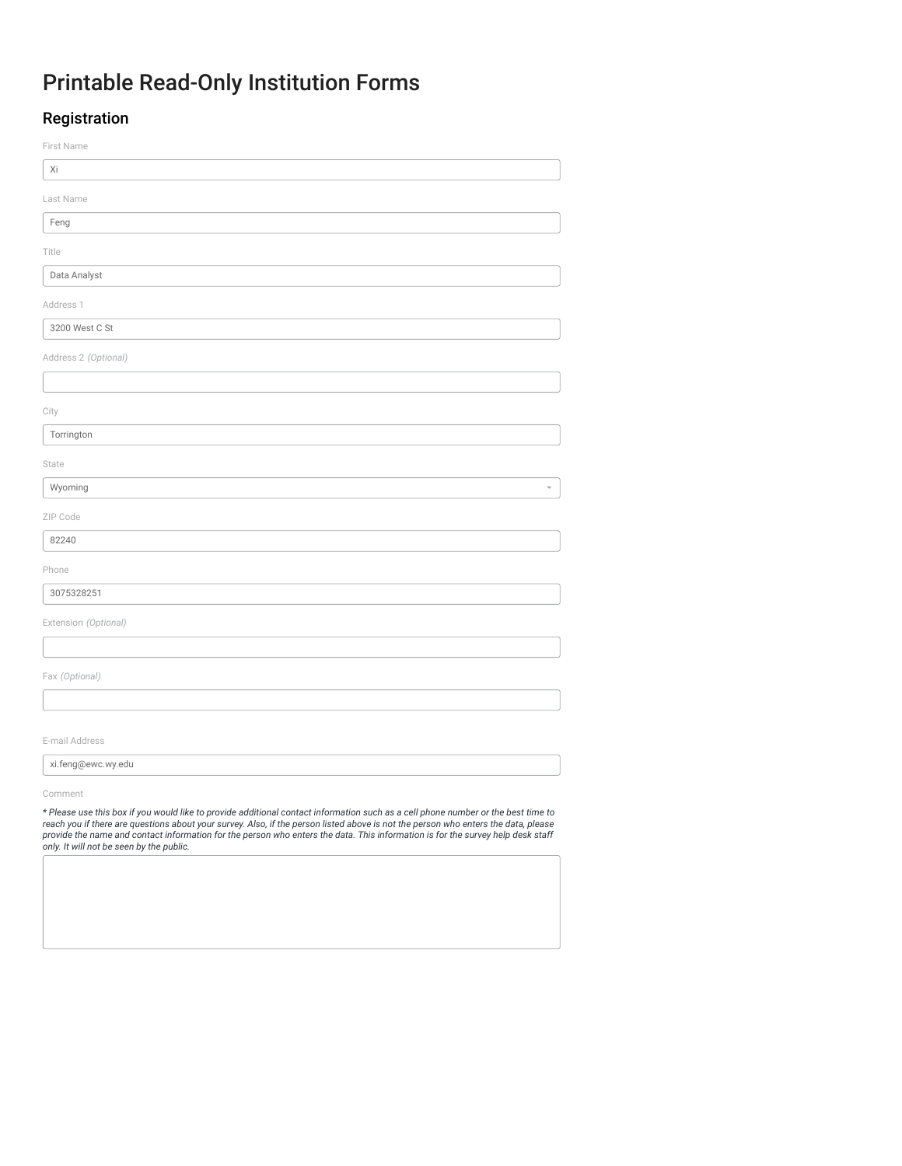# Printable Read-Only Institution Forms

## Registration

| First Name                                                                                                                                                                                                                                                                                                                                                                                                                                             |
|--------------------------------------------------------------------------------------------------------------------------------------------------------------------------------------------------------------------------------------------------------------------------------------------------------------------------------------------------------------------------------------------------------------------------------------------------------|
| Xi                                                                                                                                                                                                                                                                                                                                                                                                                                                     |
| Last Name                                                                                                                                                                                                                                                                                                                                                                                                                                              |
| Feng                                                                                                                                                                                                                                                                                                                                                                                                                                                   |
| Title                                                                                                                                                                                                                                                                                                                                                                                                                                                  |
| Data Analyst                                                                                                                                                                                                                                                                                                                                                                                                                                           |
| Address 1                                                                                                                                                                                                                                                                                                                                                                                                                                              |
| 3200 West C St                                                                                                                                                                                                                                                                                                                                                                                                                                         |
|                                                                                                                                                                                                                                                                                                                                                                                                                                                        |
| Address 2 (Optional)                                                                                                                                                                                                                                                                                                                                                                                                                                   |
|                                                                                                                                                                                                                                                                                                                                                                                                                                                        |
| City                                                                                                                                                                                                                                                                                                                                                                                                                                                   |
| Torrington                                                                                                                                                                                                                                                                                                                                                                                                                                             |
| State                                                                                                                                                                                                                                                                                                                                                                                                                                                  |
| Wyoming                                                                                                                                                                                                                                                                                                                                                                                                                                                |
| ZIP Code                                                                                                                                                                                                                                                                                                                                                                                                                                               |
| 82240                                                                                                                                                                                                                                                                                                                                                                                                                                                  |
| Phone                                                                                                                                                                                                                                                                                                                                                                                                                                                  |
| 3075328251                                                                                                                                                                                                                                                                                                                                                                                                                                             |
| Extension (Optional)                                                                                                                                                                                                                                                                                                                                                                                                                                   |
|                                                                                                                                                                                                                                                                                                                                                                                                                                                        |
| Fax (Optional)                                                                                                                                                                                                                                                                                                                                                                                                                                         |
|                                                                                                                                                                                                                                                                                                                                                                                                                                                        |
|                                                                                                                                                                                                                                                                                                                                                                                                                                                        |
| E-mail Address                                                                                                                                                                                                                                                                                                                                                                                                                                         |
| xi.feng@ewc.wy.edu                                                                                                                                                                                                                                                                                                                                                                                                                                     |
| Comment                                                                                                                                                                                                                                                                                                                                                                                                                                                |
| * Please use this box if you would like to provide additional contact information such as a cell phone number or the best time to<br>reach you if there are questions about your survey. Also, if the person listed above is not the person who enters the data, please<br>provide the name and contact information for the person who enters the data. This information is for the survey help desk staff<br>only. It will not be seen by the public. |
|                                                                                                                                                                                                                                                                                                                                                                                                                                                        |
|                                                                                                                                                                                                                                                                                                                                                                                                                                                        |
|                                                                                                                                                                                                                                                                                                                                                                                                                                                        |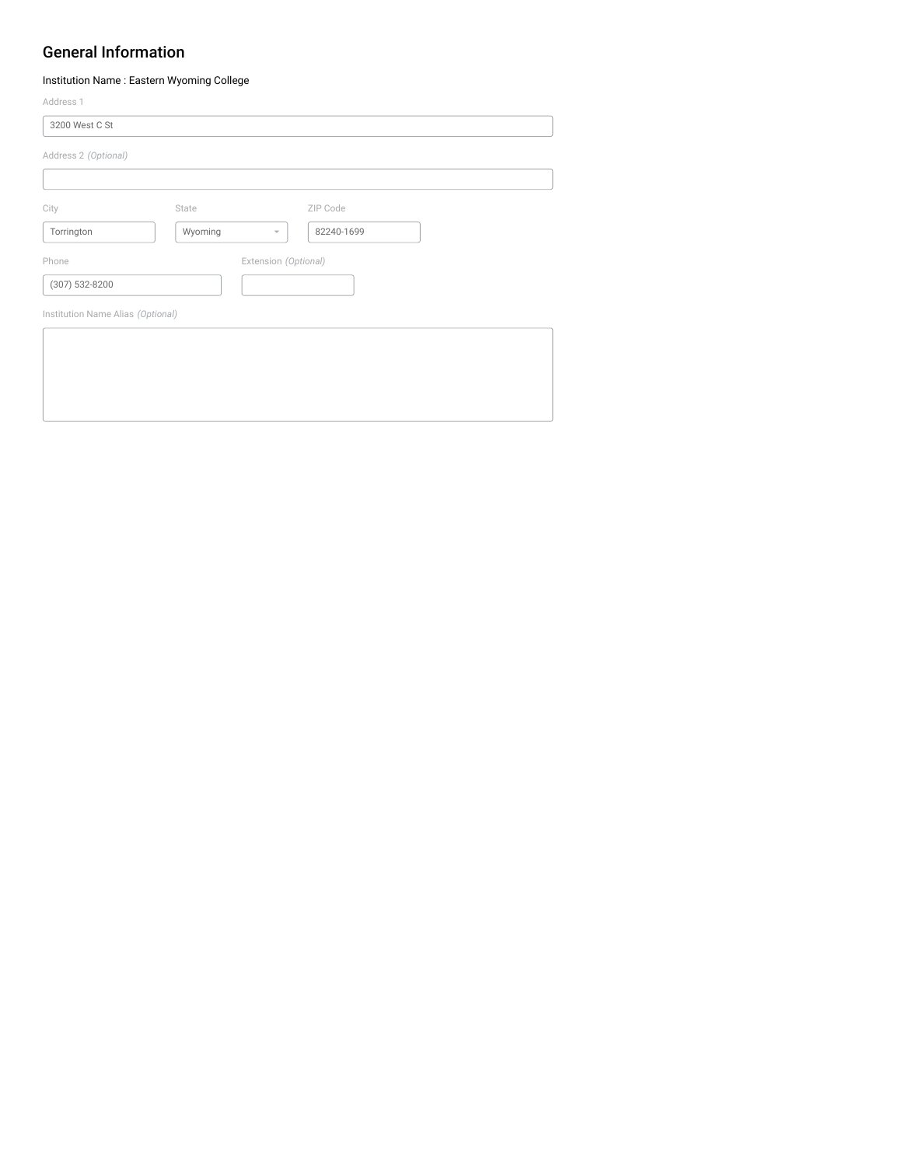### General Information

U

Institution Name : Eastern Wyoming College

| Address 1                         |         |                                        |  |
|-----------------------------------|---------|----------------------------------------|--|
| 3200 West C St                    |         |                                        |  |
| Address 2 (Optional)              |         |                                        |  |
|                                   |         |                                        |  |
| City                              | State   | ZIP Code                               |  |
| Torrington                        | Wyoming | 82240-1699<br>$\overline{\phantom{a}}$ |  |
| Phone                             |         | Extension (Optional)                   |  |
| (307) 532-8200                    |         |                                        |  |
| Institution Name Alias (Optional) |         |                                        |  |
|                                   |         |                                        |  |
|                                   |         |                                        |  |
|                                   |         |                                        |  |
|                                   |         |                                        |  |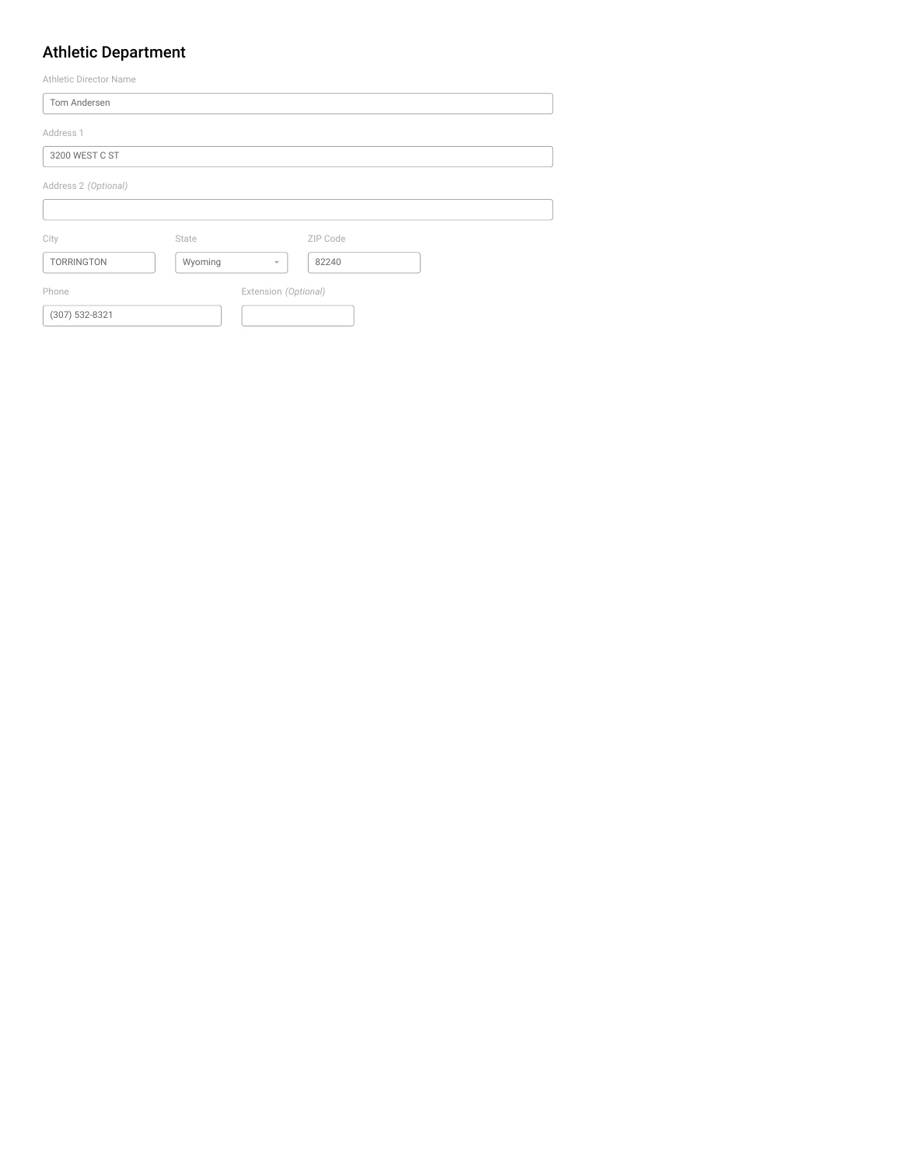## Athletic Department

| Athletic Director Name |         |                          |          |  |  |
|------------------------|---------|--------------------------|----------|--|--|
| Tom Andersen           |         |                          |          |  |  |
| Address 1              |         |                          |          |  |  |
| 3200 WEST C ST         |         |                          |          |  |  |
| Address 2 (Optional)   |         |                          |          |  |  |
|                        |         |                          |          |  |  |
| City                   | State   |                          | ZIP Code |  |  |
| TORRINGTON             | Wyoming | $\overline{\phantom{a}}$ | 82240    |  |  |
| Phone                  |         | Extension (Optional)     |          |  |  |
| (307) 532-8321         |         |                          |          |  |  |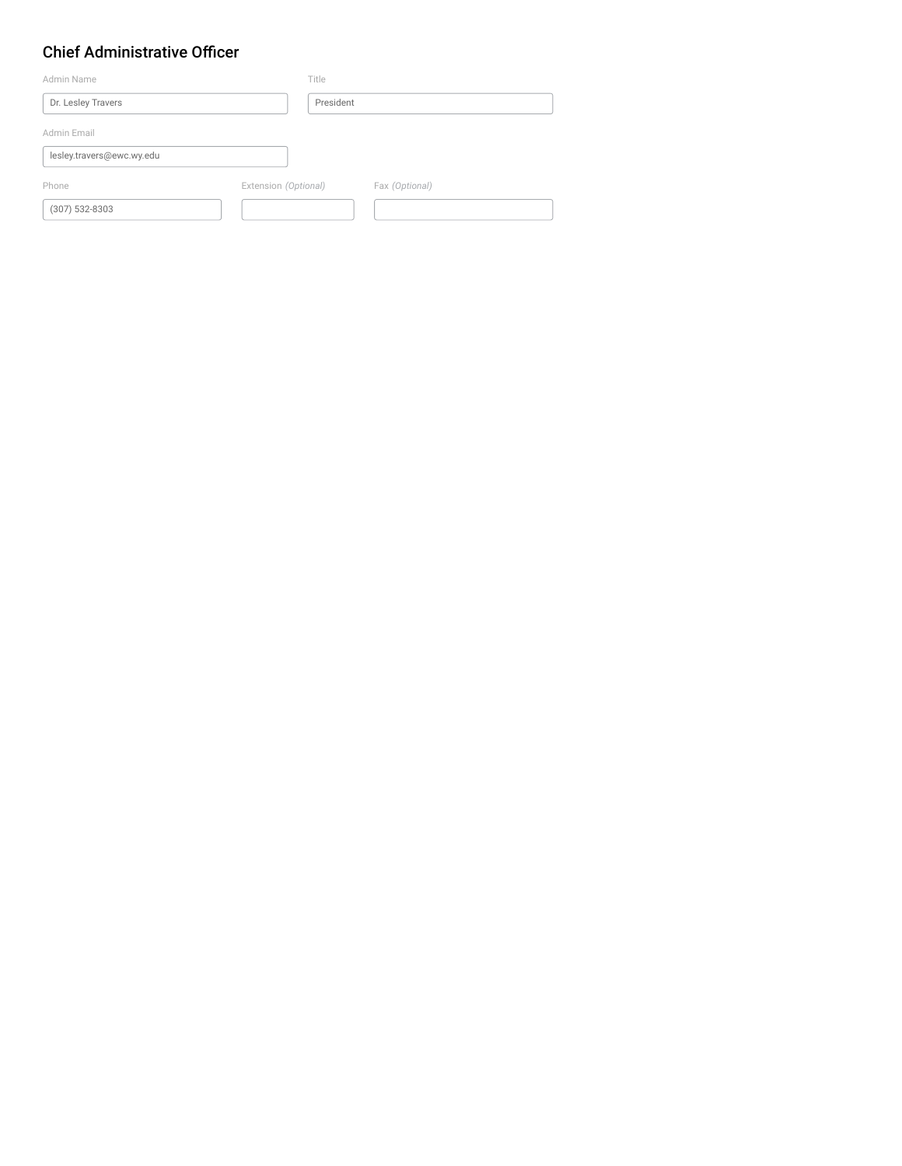## Chief Administrative Officer

| Admin Name                | Title                |                |
|---------------------------|----------------------|----------------|
| Dr. Lesley Travers        | President            |                |
| Admin Email               |                      |                |
| lesley.travers@ewc.wy.edu |                      |                |
| Phone                     | Extension (Optional) | Fax (Optional) |
| $(307)$ 532-8303          |                      |                |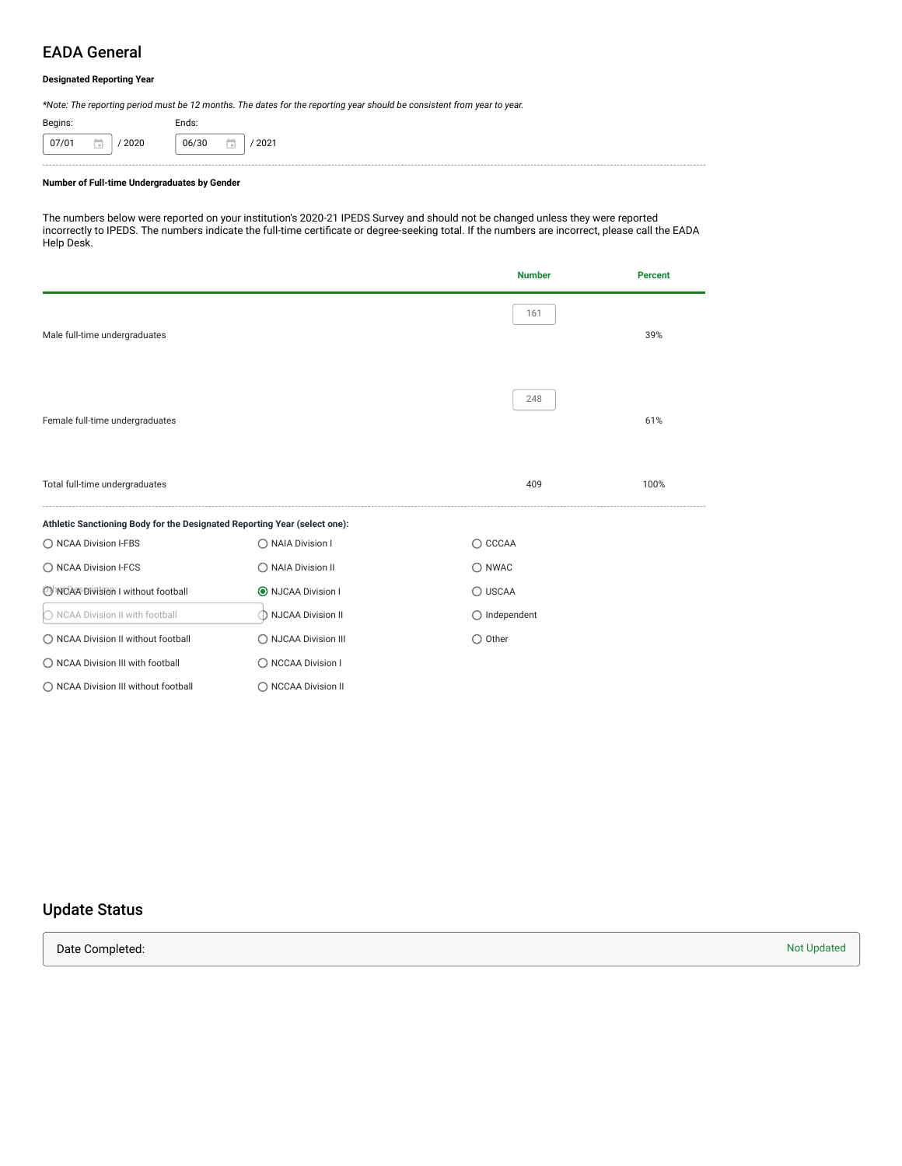### EADA General

#### **Designated Reporting Year**

*\*Note: The reporting period must be 12 months. The dates for the reporting year should be consistent from year to year.*

| Begins: |            | Ends: |   |      |
|---------|------------|-------|---|------|
| 07/01   | 2020<br>÷. | 06/30 | Œ | 2021 |

#### **Number of Full-time Undergraduates by Gender**

The numbers below were reported on your institution's 2020-21 IPEDS Survey and should not be changed unless they were reported incorrectly to IPEDS. The numbers indicate the full-time certificate or degree-seeking total. If the numbers are incorrect, please call the EADA Help Desk.

|                                                                           |                      | <b>Number</b>          | <b>Percent</b> |
|---------------------------------------------------------------------------|----------------------|------------------------|----------------|
| Male full-time undergraduates                                             |                      | 161                    | 39%            |
| Female full-time undergraduates                                           |                      | 248                    | 61%            |
| Total full-time undergraduates                                            |                      | 409                    | 100%           |
| Athletic Sanctioning Body for the Designated Reporting Year (select one): |                      |                        |                |
| ◯ NCAA Division I-FBS                                                     | ◯ NAIA Division I    | $\bigcirc$ CCCAA       |                |
| ◯ NCAA Division I-FCS                                                     | ◯ NAIA Division II   | $\bigcirc$ NWAC        |                |
| OhNCAA Division I without football                                        | O NJCAA Division I   | ◯ USCAA                |                |
| ◯ NCAA Division II with football                                          | ◯ NJCAA Division II  | $\bigcirc$ Independent |                |
| ◯ NCAA Division II without football                                       | O NJCAA Division III | $\bigcirc$ Other       |                |
| ◯ NCAA Division III with football                                         | ◯ NCCAA Division I   |                        |                |
| ◯ NCAA Division III without football                                      | ◯ NCCAA Division II  |                        |                |

## Update Status

**Date Completed:** Not Updated Not Updated Not Updated Not Updated Not Updated Not Updated Not Updated Not Updated Not Updated Not Updated Not Updated Not Updated Not Updated Not Updated Not Updated Not Updated Not Updated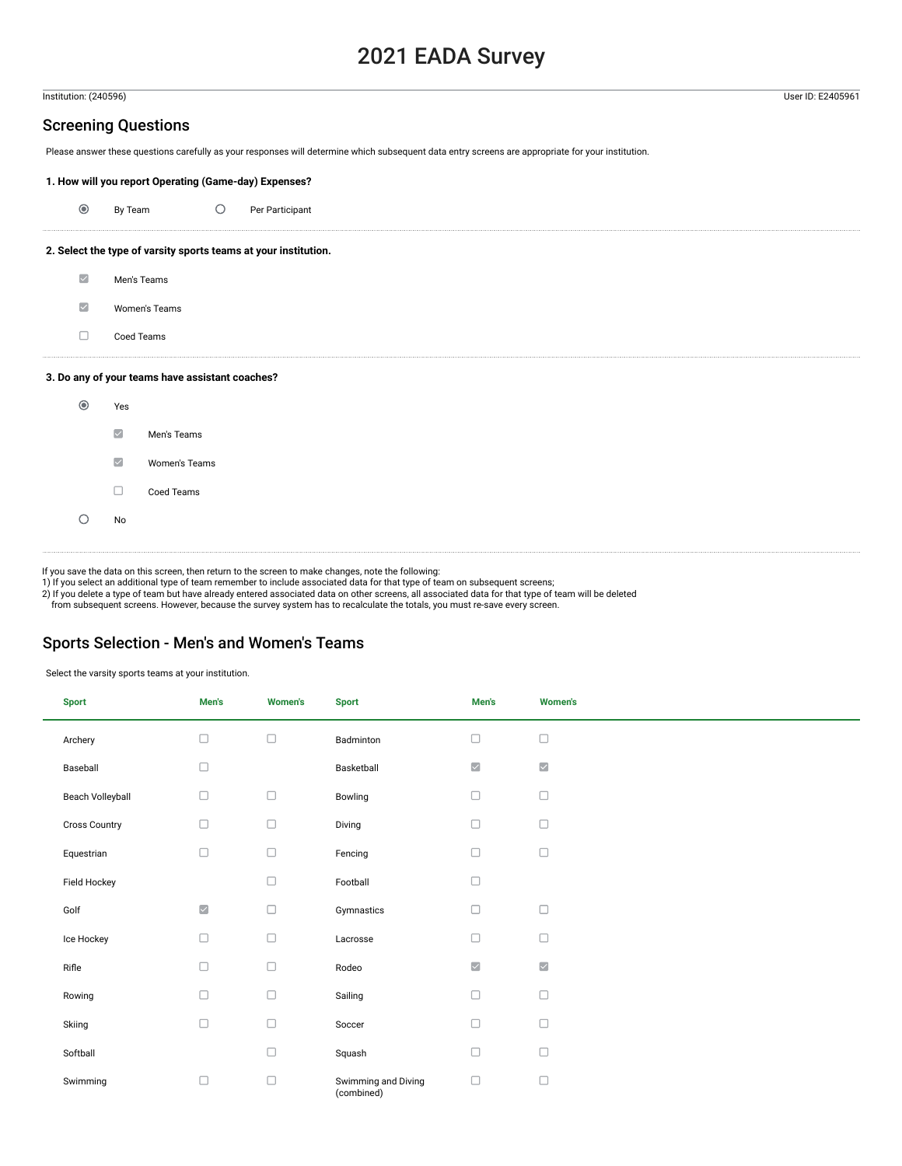## 2021 EADA Survey

#### Institution: (240596) User ID: E2405961

#### Screening Questions

Please answer these questions carefully as your responses will determine which subsequent data entry screens are appropriate for your institution.

#### **1. How will you report Operating (Game-day) Expenses?**

| $\odot$                 | By Team                 |                                                 | $\bigcirc$ | Per Participant                                                 |
|-------------------------|-------------------------|-------------------------------------------------|------------|-----------------------------------------------------------------|
|                         |                         |                                                 |            | 2. Select the type of varsity sports teams at your institution. |
| $\overline{\mathbf{v}}$ | Men's Teams             |                                                 |            |                                                                 |
| $\overline{\mathbf{v}}$ |                         | Women's Teams                                   |            |                                                                 |
| $\Box$                  | Coed Teams              |                                                 |            |                                                                 |
|                         |                         | 3. Do any of your teams have assistant coaches? |            |                                                                 |
| $\odot$                 | Yes                     |                                                 |            |                                                                 |
|                         | $\overline{\vee}$       | Men's Teams                                     |            |                                                                 |
|                         | $\vert\mathcal{A}\vert$ | Women's Teams                                   |            |                                                                 |
|                         | □                       | Coed Teams                                      |            |                                                                 |
|                         | No                      |                                                 |            |                                                                 |
|                         |                         |                                                 |            |                                                                 |

If you save the data on this screen, then return to the screen to make changes, note the following: 1) If you select an additional type of team remember to include associated data for that type of team on subsequent screens;

2) If you delete a type of team but have already entered associated data on other screens, all associated data for that type of team will be deleted

from subsequent screens. However, because the survey system has to recalculate the totals, you must re-save every screen.

#### Sports Selection - Men's and Women's Teams

Select the varsity sports teams at your institution.

| <b>Sport</b>         | Men's               | <b>Women's</b> | <b>Sport</b>                      | Men's               | <b>Women's</b>      |
|----------------------|---------------------|----------------|-----------------------------------|---------------------|---------------------|
| Archery              | $\Box$              | $\Box$         | Badminton                         | $\Box$              | $\Box$              |
| Baseball             | $\Box$              |                | Basketball                        | $\checkmark$        | $\overline{\smile}$ |
| Beach Volleyball     | $\Box$              | $\Box$         | Bowling                           | $\Box$              | $\Box$              |
| <b>Cross Country</b> | $\Box$              | $\Box$         | Diving                            | $\Box$              | $\Box$              |
| Equestrian           | $\Box$              | $\Box$         | Fencing                           | $\Box$              | $\Box$              |
| Field Hockey         |                     | $\Box$         | Football                          | $\Box$              |                     |
| Golf                 | $\overline{\smile}$ | $\Box$         | Gymnastics                        | $\Box$              | $\Box$              |
| Ice Hockey           | $\Box$              | $\Box$         | Lacrosse                          | $\Box$              | $\Box$              |
| Rifle                | $\Box$              | $\Box$         | Rodeo                             | $\overline{\smile}$ | $\overline{\smile}$ |
| Rowing               | $\Box$              | $\Box$         | Sailing                           | $\Box$              | $\Box$              |
| Skiing               | $\Box$              | $\Box$         | Soccer                            | $\Box$              | $\Box$              |
| Softball             |                     | $\Box$         | Squash                            | $\Box$              | $\Box$              |
| Swimming             | $\Box$              | $\Box$         | Swimming and Diving<br>(combined) | $\Box$              | $\Box$              |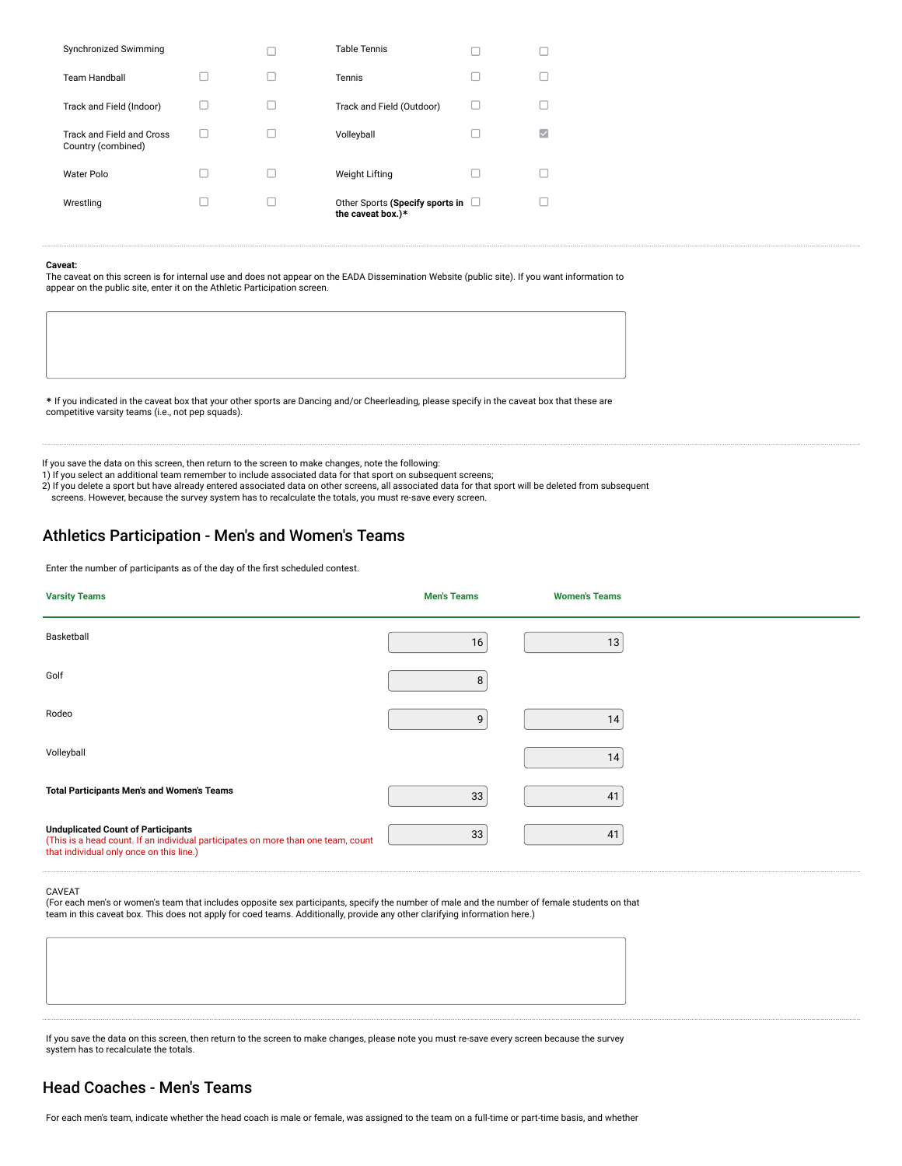| Synchronized Swimming                           |  | <b>Table Tennis</b>                                         |  |
|-------------------------------------------------|--|-------------------------------------------------------------|--|
| <b>Team Handball</b>                            |  | Tennis                                                      |  |
| Track and Field (Indoor)                        |  | Track and Field (Outdoor)                                   |  |
| Track and Field and Cross<br>Country (combined) |  | Volleyball                                                  |  |
| Water Polo                                      |  | <b>Weight Lifting</b>                                       |  |
| Wrestling                                       |  | Other Sports (Specify sports in $\Box$<br>the caveat box.)* |  |

#### **Caveat:**

The caveat on this screen is for internal use and does not appear on the EADA Dissemination Website (public site). If you want information to appear on the public site, enter it on the Athletic Participation screen.

**\*** If you indicated in the caveat box that your other sports are Dancing and/or Cheerleading, please specify in the caveat box that these are competitive varsity teams (i.e., not pep squads).

If you save the data on this screen, then return to the screen to make changes, note the following:

1) If you select an additional team remember to include associated data for that sport on subsequent screens;

2) If you delete a sport but have already entered associated data on other screens, all associated data for that sport will be deleted from subsequent

screens. However, because the survey system has to recalculate the totals, you must re-save every screen.

#### Athletics Participation - Men's and Women's Teams

Enter the number of participants as of the day of the first scheduled contest.

| <b>Varsity Teams</b>                                                                                                                                                       | <b>Men's Teams</b> | <b>Women's Teams</b> |  |
|----------------------------------------------------------------------------------------------------------------------------------------------------------------------------|--------------------|----------------------|--|
| Basketball                                                                                                                                                                 | 16                 | 13                   |  |
| Golf                                                                                                                                                                       | 8                  |                      |  |
| Rodeo                                                                                                                                                                      | 9                  | 14                   |  |
| Volleyball                                                                                                                                                                 |                    | 14                   |  |
| <b>Total Participants Men's and Women's Teams</b>                                                                                                                          | 33                 | 41                   |  |
| <b>Unduplicated Count of Participants</b><br>(This is a head count. If an individual participates on more than one team, count<br>that individual only once on this line.) | 33                 | 41                   |  |

#### CAVEAT

(For each men's or women's team that includes opposite sex participants, specify the number of male and the number of female students on that<br>team in this caveat box. This does not apply for coed teams. Additionally, provi

If you save the data on this screen, then return to the screen to make changes, please note you must re-save every screen because the survey system has to recalculate the totals.

### Head Coaches - Men's Teams

For each men's team, indicate whether the head coach is male or female, was assigned to the team on a full-time or part-time basis, and whether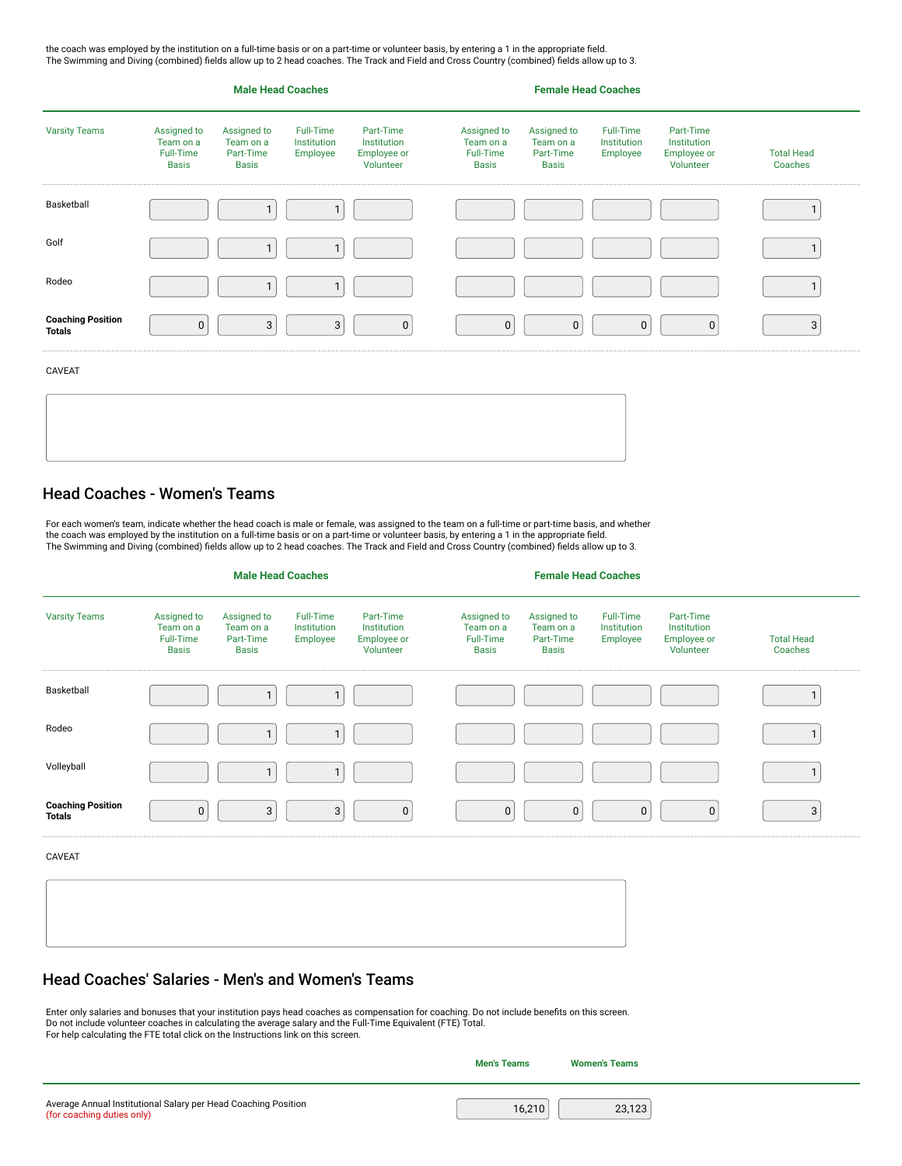the coach was employed by the institution on a full-time basis or on a part-time or volunteer basis, by entering a 1 in the appropriate field. The Swimming and Diving (combined) fields allow up to 2 head coaches. The Track and Field and Cross Country (combined) fields allow up to 3.

| <b>Varsity Teams</b>                      |                                                       | <b>Male Head Coaches</b>                              |                                      |                                                      |                                                       |                                                       |                                      |                                                      |                              |
|-------------------------------------------|-------------------------------------------------------|-------------------------------------------------------|--------------------------------------|------------------------------------------------------|-------------------------------------------------------|-------------------------------------------------------|--------------------------------------|------------------------------------------------------|------------------------------|
|                                           | Assigned to<br>Team on a<br>Full-Time<br><b>Basis</b> | Assigned to<br>Team on a<br>Part-Time<br><b>Basis</b> | Full-Time<br>Institution<br>Employee | Part-Time<br>Institution<br>Employee or<br>Volunteer | Assigned to<br>Team on a<br>Full-Time<br><b>Basis</b> | Assigned to<br>Team on a<br>Part-Time<br><b>Basis</b> | Full-Time<br>Institution<br>Employee | Part-Time<br>Institution<br>Employee or<br>Volunteer | <b>Total Head</b><br>Coaches |
| Basketball                                |                                                       |                                                       |                                      |                                                      |                                                       |                                                       |                                      |                                                      |                              |
| Golf                                      |                                                       |                                                       | ٠                                    |                                                      |                                                       |                                                       |                                      |                                                      |                              |
| Rodeo                                     |                                                       | 1                                                     | 1                                    |                                                      |                                                       |                                                       |                                      |                                                      |                              |
| <b>Coaching Position</b><br><b>Totals</b> | $\pmb{0}$                                             | 3                                                     | $\mathbf{3}$                         | $\mathbf 0$                                          | $\mathbf 0$                                           | $\mathbf 0$                                           | $\mathbf 0$                          | $\mathbf 0$                                          | 3                            |
| CAVEAT                                    |                                                       |                                                       |                                      |                                                      |                                                       |                                                       |                                      |                                                      |                              |
|                                           |                                                       |                                                       |                                      |                                                      |                                                       |                                                       |                                      |                                                      |                              |
|                                           |                                                       |                                                       |                                      |                                                      |                                                       |                                                       |                                      |                                                      |                              |

### Head Coaches - Women's Teams

For each women's team, indicate whether the head coach is male or female, was assigned to the team on a full-time or part-time basis, and whether the coach was employed by the institution on a full-time basis or on a part-time or volunteer basis, by entering a 1 in the appropriate field. The Swimming and Diving (combined) fields allow up to 2 head coaches. The Track and Field and Cross Country (combined) fields allow up to 3.

|                                           |                                                       | <b>Male Head Coaches</b>                              |                                      |                                                      |                                                       |                                                       |                                      |                                                      |                              |
|-------------------------------------------|-------------------------------------------------------|-------------------------------------------------------|--------------------------------------|------------------------------------------------------|-------------------------------------------------------|-------------------------------------------------------|--------------------------------------|------------------------------------------------------|------------------------------|
| <b>Varsity Teams</b>                      | Assigned to<br>Team on a<br>Full-Time<br><b>Basis</b> | Assigned to<br>Team on a<br>Part-Time<br><b>Basis</b> | Full-Time<br>Institution<br>Employee | Part-Time<br>Institution<br>Employee or<br>Volunteer | Assigned to<br>Team on a<br>Full-Time<br><b>Basis</b> | Assigned to<br>Team on a<br>Part-Time<br><b>Basis</b> | Full-Time<br>Institution<br>Employee | Part-Time<br>Institution<br>Employee or<br>Volunteer | <b>Total Head</b><br>Coaches |
| Basketball                                |                                                       |                                                       | $\mathbf{1}$                         |                                                      |                                                       |                                                       |                                      |                                                      |                              |
| Rodeo                                     |                                                       | 1                                                     | $\mathbf{1}$                         |                                                      |                                                       |                                                       |                                      |                                                      |                              |
| Volleyball                                |                                                       |                                                       | $\mathbf{1}$                         |                                                      |                                                       |                                                       |                                      |                                                      |                              |
| <b>Coaching Position</b><br><b>Totals</b> | $\pmb{0}$                                             | 3                                                     | 3                                    | $\mathbf 0$                                          | $\mathbf 0$                                           | $\pmb{0}$                                             | $\mathbf 0$                          | $\mathbf 0$                                          | 3                            |
| CAVEAT                                    |                                                       |                                                       |                                      |                                                      |                                                       |                                                       |                                      |                                                      |                              |
|                                           |                                                       |                                                       |                                      |                                                      |                                                       |                                                       |                                      |                                                      |                              |
|                                           |                                                       |                                                       |                                      |                                                      |                                                       |                                                       |                                      |                                                      |                              |

#### Head Coaches' Salaries - Men's and Women's Teams

Enter only salaries and bonuses that your institution pays head coaches as compensation for coaching. Do not include benefits on this screen.<br>Do not include volunteer coaches in calculating the average salary and the Full-

**Men's Teams Women's Teams**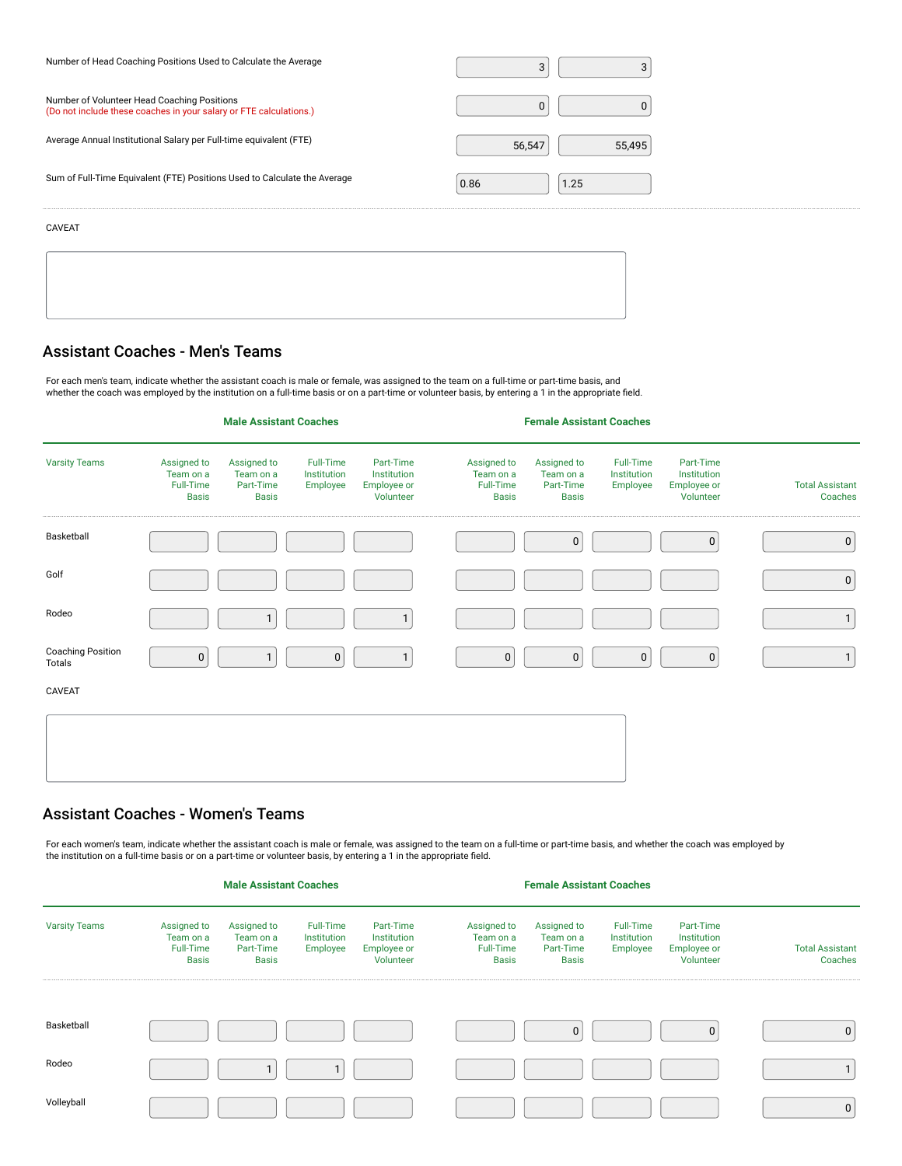| Number of Head Coaching Positions Used to Calculate the Average                                                   | 3                |
|-------------------------------------------------------------------------------------------------------------------|------------------|
| Number of Volunteer Head Coaching Positions<br>(Do not include these coaches in your salary or FTE calculations.) |                  |
| Average Annual Institutional Salary per Full-time equivalent (FTE)                                                | 56,547<br>55,495 |
| Sum of Full-Time Equivalent (FTE) Positions Used to Calculate the Average                                         | 0.86<br>1.25     |
| CAVEAT                                                                                                            |                  |
|                                                                                                                   |                  |

#### Assistant Coaches - Men's Teams

For each men's team, indicate whether the assistant coach is male or female, was assigned to the team on a full-time or part-time basis, and whether the coach was employed by the institution on a full-time basis or on a part-time or volunteer basis, by entering a 1 in the appropriate field.

#### **Male Assistant Coaches Female Assistant Coaches** Varsity Teams Assigned to Team on a Full-Time Basis Assigned to Team on a Part-Time Basis Full-Time Institution Employee Part-Time Institution Employee or Volunteer Assigned to Team on a Full-Time Basis Assigned to Team on a Part-Time Basis Full-Time Institution Employee Part-Time Institution Employee or Volunteer Total Assistant Coaches Basketball ( ) ( ) ( ) ( ) ( o) ( o) ( o) ( o) Golf <sup>0</sup> Rodeo <sup>1</sup> <sup>1</sup> <sup>1</sup> Coaching Position<br>Totals Totals <sup>0</sup> <sup>1</sup> <sup>0</sup> <sup>1</sup> <sup>0</sup> <sup>0</sup> <sup>0</sup> <sup>0</sup> <sup>1</sup> CAVEAT

### Assistant Coaches - Women's Teams

For each women's team, indicate whether the assistant coach is male or female, was assigned to the team on a full-time or part-time basis, and whether the coach was employed by the institution on a full-time basis or on a part-time or volunteer basis, by entering a 1 in the appropriate field.

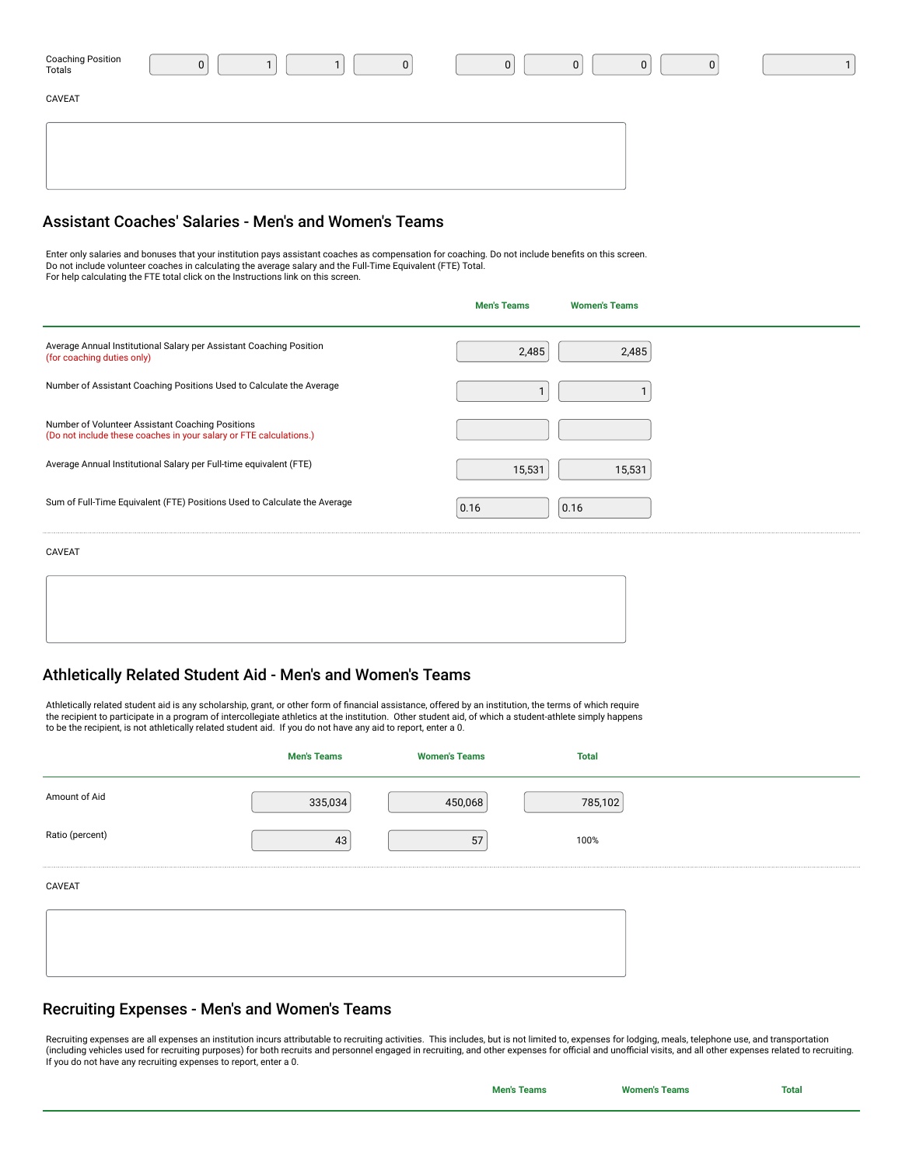| Coaching Position<br>Totals | 0 |  |  | U | 0 |  |  |
|-----------------------------|---|--|--|---|---|--|--|
| CAVEAT                      |   |  |  |   |   |  |  |
|                             |   |  |  |   |   |  |  |
|                             |   |  |  |   |   |  |  |
|                             |   |  |  |   |   |  |  |

#### Assistant Coaches' Salaries - Men's and Women's Teams

Enter only salaries and bonuses that your institution pays assistant coaches as compensation for coaching. Do not include benefits on this screen.<br>Do not include volunteer coaches in calculating the average salary and the

|                                                                                                                        | <b>Men's Teams</b> | <b>Women's Teams</b> |  |
|------------------------------------------------------------------------------------------------------------------------|--------------------|----------------------|--|
| Average Annual Institutional Salary per Assistant Coaching Position<br>(for coaching duties only)                      | 2,485              | 2,485                |  |
| Number of Assistant Coaching Positions Used to Calculate the Average                                                   | ٠                  |                      |  |
| Number of Volunteer Assistant Coaching Positions<br>(Do not include these coaches in your salary or FTE calculations.) |                    |                      |  |
| Average Annual Institutional Salary per Full-time equivalent (FTE)                                                     | 15,531             | 15,531               |  |
| Sum of Full-Time Equivalent (FTE) Positions Used to Calculate the Average                                              | 0.16               | 0.16                 |  |
| CAVEAT                                                                                                                 |                    |                      |  |
|                                                                                                                        |                    |                      |  |
|                                                                                                                        |                    |                      |  |

### Athletically Related Student Aid - Men's and Women's Teams

Athletically related student aid is any scholarship, grant, or other form of financial assistance, offered by an institution, the terms of which require<br>the recipient to participate in a program of intercollegiate athletic

|                 | <b>Men's Teams</b> | <b>Women's Teams</b> | <b>Total</b> |  |
|-----------------|--------------------|----------------------|--------------|--|
| Amount of Aid   | 335,034            | 450,068              | 785,102      |  |
| Ratio (percent) | 43                 | 57                   | 100%         |  |
| CAVEAT          |                    |                      |              |  |
|                 |                    |                      |              |  |
|                 |                    |                      |              |  |

### Recruiting Expenses - Men's and Women's Teams

Recruiting expenses are all expenses an institution incurs attributable to recruiting activities. This includes, but is not limited to, expenses for lodging, meals, telephone use, and transportation (including vehicles used for recruiting purposes) for both recruits and personnel engaged in recruiting, and other expenses for official and unofficial visits, and all other expenses related to recruiting.<br>If you do not ha

| <b>Men's Teams</b> | <b>Women's Teams</b> | Total |
|--------------------|----------------------|-------|
|                    |                      |       |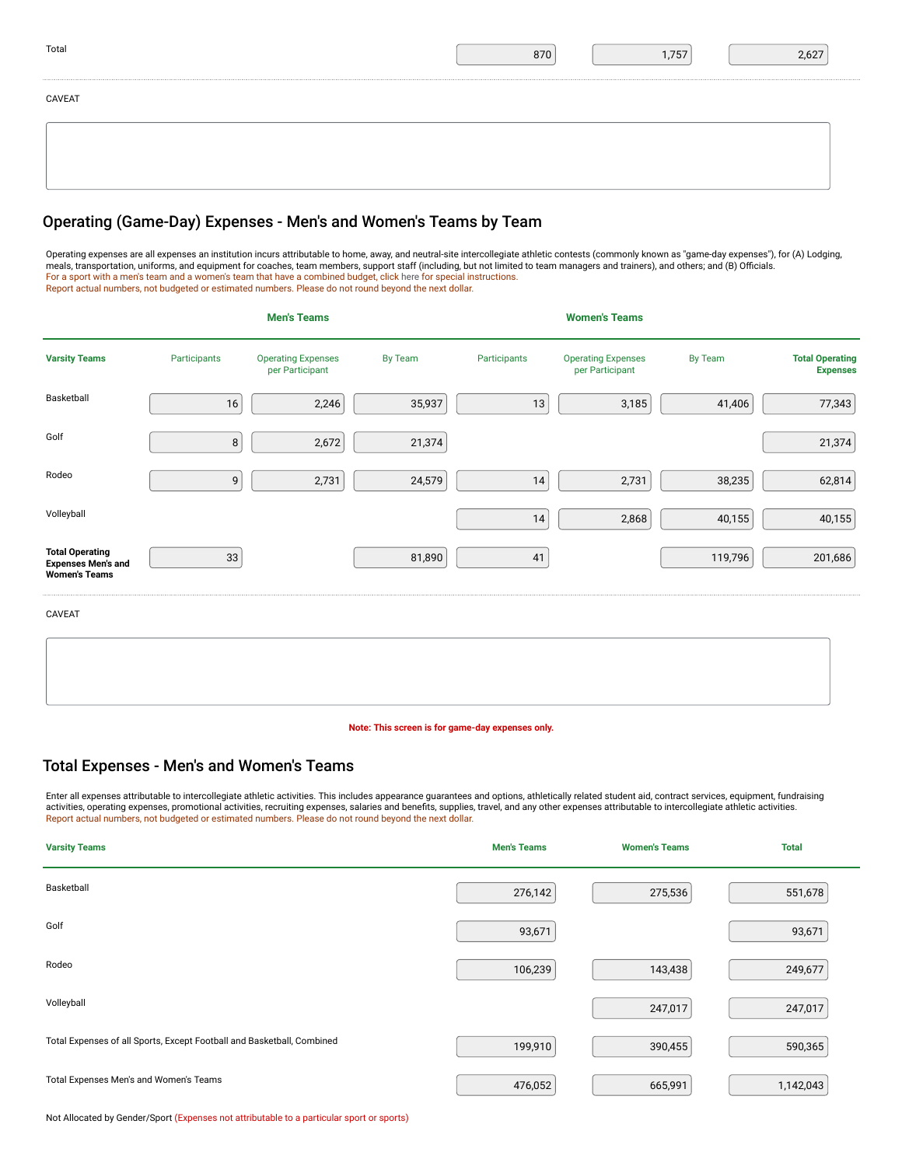| Total  | 870 | 1,757 | 2,627 |
|--------|-----|-------|-------|
| CAVEAT |     |       |       |
|        |     |       |       |
|        |     |       |       |

### Operating (Game-Day) Expenses - Men's and Women's Teams by Team

Operating expenses are all expenses an institution incurs attributable to home, away, and neutral-site intercollegiate athletic contests (commonly known as "game-day expenses"), for (A) Lodging,<br>meals, transportation, unif Report actual numbers, not budgeted or estimated numbers. Please do not round beyond the next dollar.

|                                                                             |              | <b>Men's Teams</b>                           |                |              | <b>Women's Teams</b>                         |         |                                           |
|-----------------------------------------------------------------------------|--------------|----------------------------------------------|----------------|--------------|----------------------------------------------|---------|-------------------------------------------|
| <b>Varsity Teams</b>                                                        | Participants | <b>Operating Expenses</b><br>per Participant | <b>By Team</b> | Participants | <b>Operating Expenses</b><br>per Participant | By Team | <b>Total Operating</b><br><b>Expenses</b> |
| Basketball                                                                  | 16           | 2,246                                        | 35,937         | 13           | 3,185                                        | 41,406  | 77,343                                    |
| Golf                                                                        | 8            | 2,672                                        | 21,374         |              |                                              |         | 21,374                                    |
| Rodeo                                                                       | 9            | 2,731                                        | 24,579         | 14           | 2,731                                        | 38,235  | 62,814                                    |
| Volleyball                                                                  |              |                                              |                | 14           | 2,868                                        | 40,155  | 40,155                                    |
| <b>Total Operating</b><br><b>Expenses Men's and</b><br><b>Women's Teams</b> | 33           |                                              | 81,890         | 41           |                                              | 119,796 | 201,686                                   |
| CAVEAT                                                                      |              |                                              |                |              |                                              |         |                                           |

**Note: This screen is for game-day expenses only.**

### Total Expenses - Men's and Women's Teams

Enter all expenses attributable to intercollegiate athletic activities. This includes appearance guarantees and options, athletically related student aid, contract services, equipment, fundraising activities, operating expenses, promotional activities, recruiting expenses, salaries and benefits, supplies, travel, and any other expenses attributable to intercollegiate athletic activities. Report actual numbers, not budgeted or estimated numbers. Please do not round beyond the next dollar.

| <b>Varsity Teams</b>                                                   | <b>Men's Teams</b> | <b>Women's Teams</b> | <b>Total</b> |
|------------------------------------------------------------------------|--------------------|----------------------|--------------|
| Basketball                                                             | 276,142            | 275,536              | 551,678      |
| Golf                                                                   | 93,671             |                      | 93,671       |
| Rodeo                                                                  | 106,239            | 143,438              | 249,677      |
| Volleyball                                                             |                    | 247,017              | 247,017      |
| Total Expenses of all Sports, Except Football and Basketball, Combined | 199,910            | 390,455              | 590,365      |
| Total Expenses Men's and Women's Teams                                 | 476,052            | 665,991              | 1,142,043    |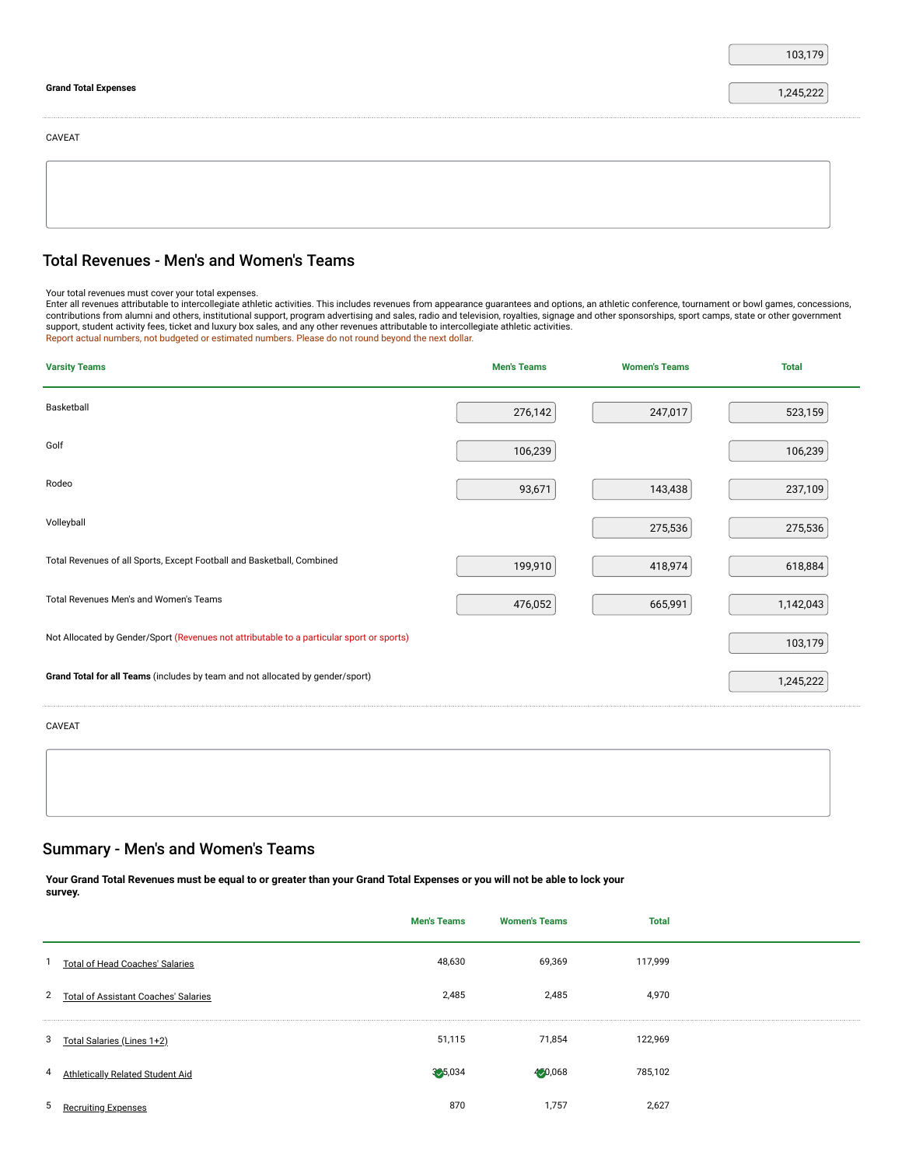|                             | 103,179   |
|-----------------------------|-----------|
| <b>Grand Total Expenses</b> | 1,245,222 |
| CAVEAT                      |           |
|                             |           |
|                             |           |

## Total Revenues - Men's and Women's Teams

| Your total revenues must cover your total expenses. |  |
|-----------------------------------------------------|--|
|                                                     |  |

Your total revenues must cover your total expenses.<br>Enter all revenues attributable to intercollegiate athletic activities. This includes revenues from appearance guarantees and options, an athletic conference, tournament Report actual numbers, not budgeted or estimated numbers. Please do not round beyond the next dollar.

| <b>Varsity Teams</b>                                                                      | <b>Men's Teams</b> | <b>Women's Teams</b> | <b>Total</b> |
|-------------------------------------------------------------------------------------------|--------------------|----------------------|--------------|
| Basketball                                                                                | 276,142            | 247,017              | 523,159      |
| Golf                                                                                      | 106,239            |                      | 106,239      |
| Rodeo                                                                                     | 93,671             | 143,438              | 237,109      |
| Volleyball                                                                                |                    | 275,536              | 275,536      |
| Total Revenues of all Sports, Except Football and Basketball, Combined                    | 199,910            | 418,974              | 618,884      |
| Total Revenues Men's and Women's Teams                                                    | 476,052            | 665,991              | 1,142,043    |
| Not Allocated by Gender/Sport (Revenues not attributable to a particular sport or sports) |                    |                      | 103,179      |
| Grand Total for all Teams (includes by team and not allocated by gender/sport)            |                    |                      | 1,245,222    |
| CAVEAT                                                                                    |                    |                      |              |

### Summary - Men's and Women's Teams

**Your Grand Total Revenues must be equal to or greater than your Grand Total Expenses or you will not be able to lock your survey.**

|                |                                             | <b>Men's Teams</b> | <b>Women's Teams</b> | <b>Total</b> |  |
|----------------|---------------------------------------------|--------------------|----------------------|--------------|--|
|                | Total of Head Coaches' Salaries             | 48,630             | 69,369               | 117,999      |  |
| $\overline{2}$ | <b>Total of Assistant Coaches' Salaries</b> | 2,485              | 2.485                | 4,970        |  |
| 3              | Total Salaries (Lines 1+2)                  | 51,115             | 71.854               | 122,969      |  |
| 4              | Athletically Related Student Aid            | 3, 5, 034          | 4,0,068              | 785,102      |  |
| 5              | Recruiting Expenses                         | 870                | 1.757                | 2,627        |  |